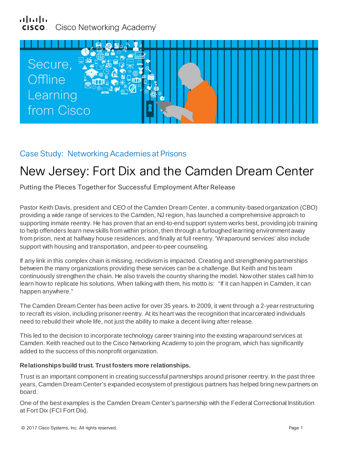### بتراينزان Cisco Networking Academy®



## Case Study: Networking Academies at Prisons

# New Jersey: Fort Dix and the Camden Dream Center

Putting the Pieces Together for Successful Employment After Release

Pastor Keith Davis, president and CEO of the Camden Dream Center, a community-based organization (CBO) providing a wide range of services to the Camden, NJ region, has launched a comprehensive approach to supporting inmate reentry. He has proven that an end-to-end support system works best, providing job training to help offenders learn new skills from within prison, then through a furloughed learning environment away from prison, next at halfway house residences, and finally at full reentry. 'Wraparound services' also include support with housing and transportation, and peer-to-peer counseling.

If any link in this complex chain is missing, recidivism is impacted. Creating and strengthening partnerships between the many organizations providing these services can be a challenge. But Keith and his team continuously strengthen the chain. He also travels the country sharing the model. Now other states call him to learn how to replicate his solutions. When talking with them, his motto is: "If it can happen in Camden, it can happen anywhere."

The Camden Dream Center has been active for over 35 years. In 2009, it went through a 2-year restructuring to recraft its vision, including prisoner reentry. At its heart was the recognition that incarcerated individuals need to rebuild their whole life, not just the ability to make a decent living after release.

This led to the decision to incorporate technology career training into the existing wraparound services at Camden. Keith reached out to the Cisco Networking Academy to join the program, which has significantly added to the success of this nonprofit organization.

#### **Relationships build trust. Trust fosters more relationships.**

Trust is an important component in creating successful partnerships around prisoner reentry. In the past three years, Camden Dream Center's expanded ecosystem of prestigious partners has helped bring new partners on board.

One of the best examples is the Camden Dream Center's partnership with the Federal Correctional Institution at Fort Dix (FCI Fort Dix).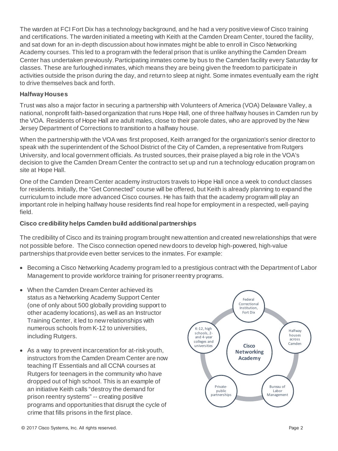The warden at FCI Fort Dix has a technology background, and he had a very positive viewof Cisco training and certifications. The warden initiated a meeting with Keith at the Camden Dream Center, toured the facility, and sat down for an in-depth discussion about how inmates might be able to enroll in Cisco Networking Academy courses. This led to a program with the federal prison that is unlike anything the Camden Dream Center has undertaken previously. Participating inmates come by bus to the Camden facility every Saturday for classes. These are furloughed inmates, which means they are being given the freedom to participate in activities outside the prison during the day, and return to sleep at night. Some inmates eventually earn the right to drive themselves back and forth.

#### **Halfway Houses**

Trust was also a major factor in securing a partnership with Volunteers of America (VOA) Delaware Valley, a national, nonprofit faith-based organization that runs Hope Hall, one of three halfway houses in Camden run by the VOA. Residents of Hope Hall are adult males, close to their parole dates, who are approved by the New Jersey Department of Corrections to transition to a halfway house.

When the partnership with the VOA was first proposed, Keith arranged for the organization's senior director to speak with the superintendent of the School District of the City of Camden, a representative from Rutgers University, and local government officials. As trusted sources, their praise played a big role in the VOA's decision to give the Camden Dream Center the contract to set up and run a technology education program on site at Hope Hall.

One of the Camden Dream Center academy instructors travels to Hope Hall once a week to conduct classes for residents. Initially, the "Get Connected" course will be offered, but Keith is already planning to expand the curriculum to include more advanced Cisco courses. He has faith that the academy program will play an important role in helping halfway house residents find real hope for employment in a respected, well-paying field.

#### **Cisco credibility helps Camden build additional partnerships**

The credibility of Cisco and its training program brought new attention and created new relationships that were not possible before. The Cisco connection opened new doors to develop high-powered, high-value partnerships that provide even better services to the inmates. For example:

- Becoming a Cisco Networking Academy program led to a prestigious contract with the Department of Labor Management to provide workforce training for prisoner reentry programs.
- When the Camden Dream Center achieved its status as a Networking Academy Support Center (one of only about 500 globally providing support to other academy locations), as well as an Instructor Training Center, it led to newrelationships with numerous schools from K-12 to universities, including Rutgers.
- As a way to prevent incarceration for at-risk youth, instructors from the Camden Dream Center are now teaching IT Essentials and all CCNA courses at Rutgers for teenagers in the community who have dropped out of high school. This is an example of an initiative Keith calls "destroy the demand for prison reentry systems" -- creating positive programs and opportunities that disrupt the cycle of crime that fills prisons in the first place.